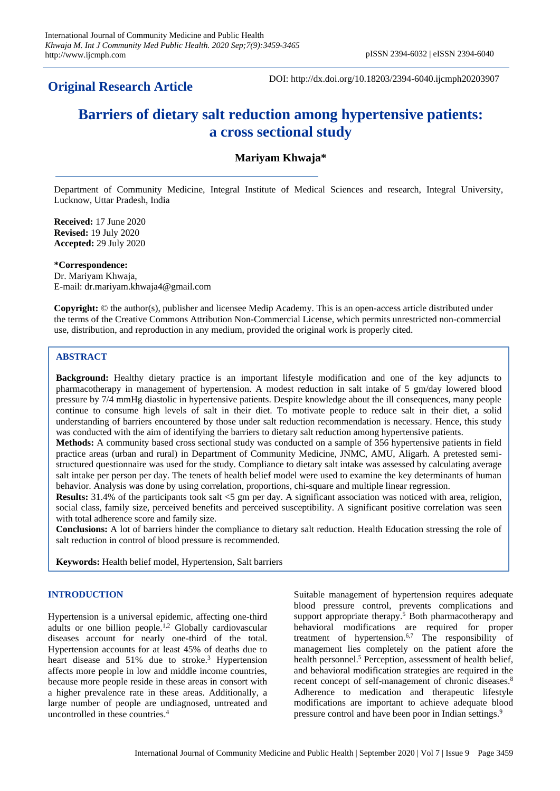# **Original Research Article**

DOI: http://dx.doi.org/10.18203/2394-6040.ijcmph20203907

# **Barriers of dietary salt reduction among hypertensive patients: a cross sectional study**

# **Mariyam Khwaja\***

Department of Community Medicine, Integral Institute of Medical Sciences and research, Integral University, Lucknow, Uttar Pradesh, India

**Received:** 17 June 2020 **Revised:** 19 July 2020 **Accepted:** 29 July 2020

**\*Correspondence:**

Dr. Mariyam Khwaja, E-mail: dr.mariyam.khwaja4@gmail.com

**Copyright:** © the author(s), publisher and licensee Medip Academy. This is an open-access article distributed under the terms of the Creative Commons Attribution Non-Commercial License, which permits unrestricted non-commercial use, distribution, and reproduction in any medium, provided the original work is properly cited.

# **ABSTRACT**

**Background:** Healthy dietary practice is an important lifestyle modification and one of the key adjuncts to pharmacotherapy in management of hypertension. A modest reduction in salt intake of 5 gm/day lowered blood pressure by 7/4 mmHg diastolic in hypertensive patients. Despite knowledge about the ill consequences, many people continue to consume high levels of salt in their diet. To motivate people to reduce salt in their diet, a solid understanding of barriers encountered by those under salt reduction recommendation is necessary. Hence, this study was conducted with the aim of identifying the barriers to dietary salt reduction among hypertensive patients.

**Methods:** A community based cross sectional study was conducted on a sample of 356 hypertensive patients in field practice areas (urban and rural) in Department of Community Medicine, JNMC, AMU, Aligarh. A pretested semistructured questionnaire was used for the study. Compliance to dietary salt intake was assessed by calculating average salt intake per person per day. The tenets of health belief model were used to examine the key determinants of human behavior. Analysis was done by using correlation, proportions, chi-square and multiple linear regression.

**Results:** 31.4% of the participants took salt  $\lt 5$  gm per day. A significant association was noticed with area, religion, social class, family size, perceived benefits and perceived susceptibility. A significant positive correlation was seen with total adherence score and family size.

**Conclusions:** A lot of barriers hinder the compliance to dietary salt reduction. Health Education stressing the role of salt reduction in control of blood pressure is recommended.

**Keywords:** Health belief model, Hypertension, Salt barriers

# **INTRODUCTION**

Hypertension is a universal epidemic, affecting one-third adults or one billion people.<sup>1,2</sup> Globally cardiovascular diseases account for nearly one-third of the total. Hypertension accounts for at least 45% of deaths due to heart disease and 51% due to stroke.<sup>3</sup> Hypertension affects more people in low and middle income countries, because more people reside in these areas in consort with a higher prevalence rate in these areas. Additionally, a large number of people are undiagnosed, untreated and uncontrolled in these countries.<sup>4</sup>

Suitable management of hypertension requires adequate blood pressure control, prevents complications and support appropriate therapy.<sup>5</sup> Both pharmacotherapy and behavioral modifications are required for proper treatment of hypertension. 6,7 The responsibility of management lies completely on the patient afore the health personnel.<sup>5</sup> Perception, assessment of health belief, and behavioral modification strategies are required in the recent concept of self-management of chronic diseases.<sup>8</sup> Adherence to medication and therapeutic lifestyle modifications are important to achieve adequate blood pressure control and have been poor in Indian settings.<sup>9</sup>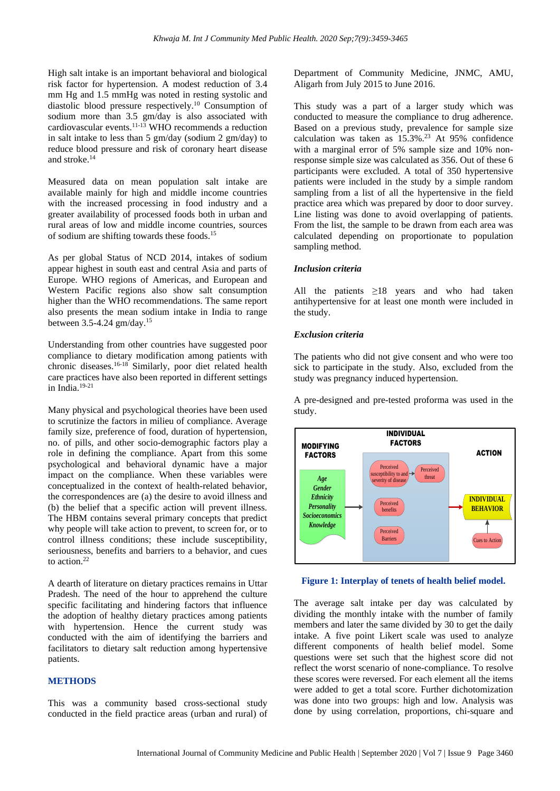High salt intake is an important behavioral and biological risk factor for hypertension. A modest reduction of 3.4 mm Hg and 1.5 mmHg was noted in resting systolic and diastolic blood pressure respectively. <sup>10</sup> Consumption of sodium more than 3.5 gm/day is also associated with cardiovascular events. 11-13 WHO recommends a reduction in salt intake to less than 5 gm/day (sodium 2 gm/day) to reduce blood pressure and risk of coronary heart disease and stroke. 14

Measured data on mean population salt intake are available mainly for high and middle income countries with the increased processing in food industry and a greater availability of processed foods both in urban and rural areas of low and middle income countries, sources of sodium are shifting towards these foods.<sup>15</sup>

As per global Status of NCD 2014, intakes of sodium appear highest in south east and central Asia and parts of Europe. WHO regions of Americas, and European and Western Pacific regions also show salt consumption higher than the WHO recommendations. The same report also presents the mean sodium intake in India to range between 3.5-4.24 gm/day.<sup>15</sup>

Understanding from other countries have suggested poor compliance to dietary modification among patients with chronic diseases.16-18 Similarly, poor diet related health care practices have also been reported in different settings in India. $19-21$ 

Many physical and psychological theories have been used to scrutinize the factors in milieu of compliance. Average family size, preference of food, duration of hypertension, no. of pills, and other socio-demographic factors play a role in defining the compliance. Apart from this some psychological and behavioral dynamic have a major impact on the compliance. When these variables were conceptualized in the context of health-related behavior, the correspondences are (a) the desire to avoid illness and (b) the belief that a specific action will prevent illness. The HBM contains several primary concepts that predict why people will take action to prevent, to screen for, or to control illness conditions; these include susceptibility, seriousness, benefits and barriers to a behavior, and cues to action. 22

A dearth of literature on dietary practices remains in Uttar Pradesh. The need of the hour to apprehend the culture specific facilitating and hindering factors that influence the adoption of healthy dietary practices among patients with hypertension. Hence the current study was conducted with the aim of identifying the barriers and facilitators to dietary salt reduction among hypertensive patients.

#### **METHODS**

This was a community based cross-sectional study conducted in the field practice areas (urban and rural) of Department of Community Medicine, JNMC, AMU, Aligarh from July 2015 to June 2016.

This study was a part of a larger study which was conducted to measure the compliance to drug adherence. Based on a previous study, prevalence for sample size calculation was taken as 15.3%. <sup>23</sup> At 95% confidence with a marginal error of 5% sample size and 10% nonresponse simple size was calculated as 356. Out of these 6 participants were excluded. A total of 350 hypertensive patients were included in the study by a simple random sampling from a list of all the hypertensive in the field practice area which was prepared by door to door survey. Line listing was done to avoid overlapping of patients. From the list, the sample to be drawn from each area was calculated depending on proportionate to population sampling method.

#### *Inclusion criteria*

All the patients  $\geq$ 18 years and who had taken antihypertensive for at least one month were included in the study.

#### *Exclusion criteria*

The patients who did not give consent and who were too sick to participate in the study. Also, excluded from the study was pregnancy induced hypertension.

A pre-designed and pre-tested proforma was used in the study.





The average salt intake per day was calculated by dividing the monthly intake with the number of family members and later the same divided by 30 to get the daily intake. A five point Likert scale was used to analyze different components of health belief model. Some questions were set such that the highest score did not reflect the worst scenario of none-compliance. To resolve these scores were reversed. For each element all the items were added to get a total score. Further dichotomization was done into two groups: high and low. Analysis was done by using correlation, proportions, chi-square and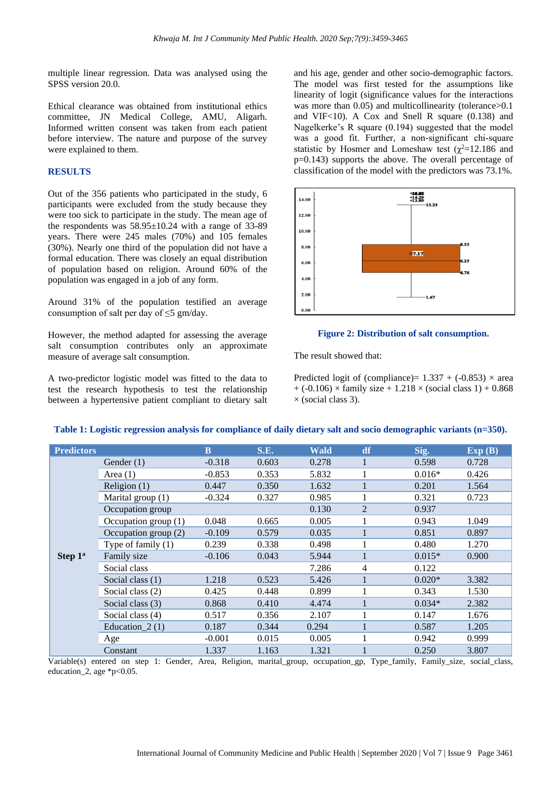multiple linear regression. Data was analysed using the SPSS version 20.0.

Ethical clearance was obtained from institutional ethics committee, JN Medical College, AMU, Aligarh. Informed written consent was taken from each patient before interview. The nature and purpose of the survey were explained to them.

# **RESULTS**

Out of the 356 patients who participated in the study, 6 participants were excluded from the study because they were too sick to participate in the study. The mean age of the respondents was  $58.95 \pm 10.24$  with a range of 33-89 years. There were 245 males (70%) and 105 females (30%). Nearly one third of the population did not have a formal education. There was closely an equal distribution of population based on religion. Around 60% of the population was engaged in a job of any form.

Around 31% of the population testified an average consumption of salt per day of  $\leq$ 5 gm/day.

However, the method adapted for assessing the average salt consumption contributes only an approximate measure of average salt consumption.

A two-predictor logistic model was fitted to the data to test the research hypothesis to test the relationship between a hypertensive patient compliant to dietary salt

and his age, gender and other socio-demographic factors. The model was first tested for the assumptions like linearity of logit (significance values for the interactions was more than 0.05) and multicollinearity (tolerance > 0.1 and VIF<10). A Cox and Snell R square (0.138) and Nagelkerke's R square (0.194) suggested that the model was a good fit. Further, a non-significant chi-square statistic by Hosmer and Lomeshaw test  $(\chi^2=12.186$  and p=0.143) supports the above. The overall percentage of classification of the model with the predictors was 73.1%.



#### **Figure 2: Distribution of salt consumption.**

The result showed that:

Predicted logit of (compliance)=  $1.337 + (-0.853) \times$  area  $+ (-0.106) \times$  family size  $+ 1.218 \times$  (social class 1)  $+ 0.868$  $\times$  (social class 3).

| <b>Predictors</b>   |                      | <b>B</b> | <b>S.E.</b> | <b>Wald</b> | df | Sig.     | Exp(B) |
|---------------------|----------------------|----------|-------------|-------------|----|----------|--------|
| Step 1 <sup>a</sup> | Gender $(1)$         | $-0.318$ | 0.603       | 0.278       |    | 0.598    | 0.728  |
|                     | Area $(1)$           | $-0.853$ | 0.353       | 5.832       |    | $0.016*$ | 0.426  |
|                     | Religion $(1)$       | 0.447    | 0.350       | 1.632       |    | 0.201    | 1.564  |
|                     | Marital group (1)    | $-0.324$ | 0.327       | 0.985       |    | 0.321    | 0.723  |
|                     | Occupation group     |          |             | 0.130       | 2  | 0.937    |        |
|                     | Occupation group (1) | 0.048    | 0.665       | 0.005       |    | 0.943    | 1.049  |
|                     | Occupation group (2) | $-0.109$ | 0.579       | 0.035       |    | 0.851    | 0.897  |
|                     | Type of family $(1)$ | 0.239    | 0.338       | 0.498       |    | 0.480    | 1.270  |
|                     | Family size          | $-0.106$ | 0.043       | 5.944       |    | $0.015*$ | 0.900  |
|                     | Social class         |          |             | 7.286       | 4  | 0.122    |        |
|                     | Social class (1)     | 1.218    | 0.523       | 5.426       |    | $0.020*$ | 3.382  |
|                     | Social class (2)     | 0.425    | 0.448       | 0.899       |    | 0.343    | 1.530  |
|                     | Social class (3)     | 0.868    | 0.410       | 4.474       |    | $0.034*$ | 2.382  |
|                     | Social class (4)     | 0.517    | 0.356       | 2.107       |    | 0.147    | 1.676  |
|                     | Education $2(1)$     | 0.187    | 0.344       | 0.294       |    | 0.587    | 1.205  |
|                     | Age                  | $-0.001$ | 0.015       | 0.005       |    | 0.942    | 0.999  |
|                     | Constant             | 1.337    | 1.163       | 1.321       |    | 0.250    | 3.807  |

#### **Table 1: Logistic regression analysis for compliance of daily dietary salt and socio demographic variants (n=350).**

Variable(s) entered on step 1: Gender, Area, Religion, marital\_group, occupation\_gp, Type\_family, Family\_size, social\_class, education\_2, age \*p<0.05.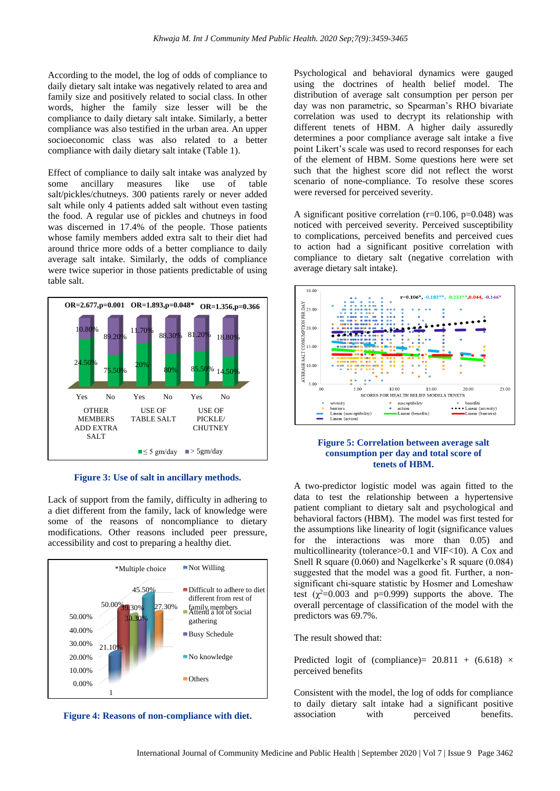According to the model, the log of odds of compliance to daily dietary salt intake was negatively related to area and family size and positively related to social class. In other words, higher the family size lesser will be the compliance to daily dietary salt intake. Similarly, a better compliance was also testified in the urban area. An upper socioeconomic class was also related to a better compliance with daily dietary salt intake (Table 1).

Effect of compliance to daily salt intake was analyzed by some ancillary measures like use of table salt/pickles/chutneys. 300 patients rarely or never added salt while only 4 patients added salt without even tasting the food. A regular use of pickles and chutneys in food was discerned in 17.4% of the people. Those patients whose family members added extra salt to their diet had around thrice more odds of a better compliance to daily average salt intake. Similarly, the odds of compliance were twice superior in those patients predictable of using table salt.



**Figure 3: Use of salt in ancillary methods.**

Lack of support from the family, difficulty in adhering to a diet different from the family, lack of knowledge were some of the reasons of noncompliance to dietary modifications. Other reasons included peer pressure, accessibility and cost to preparing a healthy diet.



**Figure 4: Reasons of non-compliance with diet.**

Psychological and behavioral dynamics were gauged using the doctrines of health belief model. The distribution of average salt consumption per person per day was non parametric, so Spearman's RHO bivariate correlation was used to decrypt its relationship with different tenets of HBM. A higher daily assuredly determines a poor compliance average salt intake a five point Likert's scale was used to record responses for each of the element of HBM. Some questions here were set such that the highest score did not reflect the worst scenario of none-compliance. To resolve these scores were reversed for perceived severity.

A significant positive correlation  $(r=0.106, p=0.048)$  was noticed with perceived severity. Perceived susceptibility to complications, perceived benefits and perceived cues to action had a significant positive correlation with compliance to dietary salt (negative correlation with average dietary salt intake).



#### **Figure 5: Correlation between average salt consumption per day and total score of tenets of HBM.**

A two-predictor logistic model was again fitted to the data to test the relationship between a hypertensive patient compliant to dietary salt and psychological and behavioral factors (HBM). The model was first tested for the assumptions like linearity of logit (significance values for the interactions was more than 0.05) and multicollinearity (tolerance>0.1 and VIF<10). A Cox and Snell R square (0.060) and Nagelkerke's R square (0.084) suggested that the model was a good fit. Further, a nonsignificant chi-square statistic by Hosmer and Lomeshaw test  $(\chi^2=0.003$  and p=0.999) supports the above. The overall percentage of classification of the model with the predictors was 69.7%.

The result showed that:

Predicted logit of (compliance) =  $20.811 + (6.618)$  × perceived benefits

Consistent with the model, the log of odds for compliance to daily dietary salt intake had a significant positive association with perceived benefits.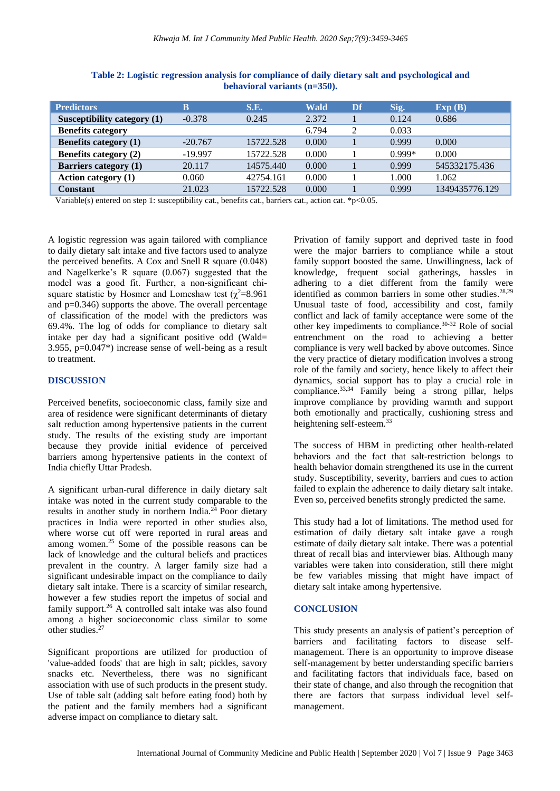| <b>Predictors</b>            | В         | S.E.      | Wald  | Df | Sig.     | Exp(B)         |
|------------------------------|-----------|-----------|-------|----|----------|----------------|
| Susceptibility category (1)  | $-0.378$  | 0.245     | 2.372 |    | 0.124    | 0.686          |
| <b>Benefits category</b>     |           |           | 6.794 |    | 0.033    |                |
| <b>Benefits category (1)</b> | $-20.767$ | 15722.528 | 0.000 |    | 0.999    | 0.000          |
| Benefits category (2)        | $-19.997$ | 15722.528 | 0.000 |    | $0.999*$ | 0.000          |
| <b>Barriers category (1)</b> | 20.117    | 14575.440 | 0.000 |    | 0.999    | 545332175.436  |
| <b>Action category (1)</b>   | 0.060     | 42754.161 | 0.000 |    | 1.000    | 1.062          |
| Constant                     | 21.023    | 15722.528 | 0.000 |    | 0.999    | 1349435776.129 |

**Table 2: Logistic regression analysis for compliance of daily dietary salt and psychological and behavioral variants (n=350).**

Variable(s) entered on step 1: susceptibility cat., benefits cat., barriers cat., action cat. \*p<0.05.

A logistic regression was again tailored with compliance to daily dietary salt intake and five factors used to analyze the perceived benefits. A Cox and Snell R square (0.048) and Nagelkerke's R square (0.067) suggested that the model was a good fit. Further, a non-significant chisquare statistic by Hosmer and Lomeshaw test ( $\gamma^2$ =8.961 and  $p=0.346$ ) supports the above. The overall percentage of classification of the model with the predictors was 69.4%. The log of odds for compliance to dietary salt intake per day had a significant positive odd (Wald= 3.955, p=0.047\*) increase sense of well-being as a result to treatment.

## **DISCUSSION**

Perceived benefits, socioeconomic class, family size and area of residence were significant determinants of dietary salt reduction among hypertensive patients in the current study. The results of the existing study are important because they provide initial evidence of perceived barriers among hypertensive patients in the context of India chiefly Uttar Pradesh.

A significant urban-rural difference in daily dietary salt intake was noted in the current study comparable to the results in another study in northern India. $24$  Poor dietary practices in India were reported in other studies also, where worse cut off were reported in rural areas and among women.<sup>25</sup> Some of the possible reasons can be lack of knowledge and the cultural beliefs and practices prevalent in the country. A larger family size had a significant undesirable impact on the compliance to daily dietary salt intake. There is a scarcity of similar research, however a few studies report the impetus of social and family support.<sup>26</sup> A controlled salt intake was also found among a higher socioeconomic class similar to some other studies.<sup>27</sup>

Significant proportions are utilized for production of 'value-added foods' that are high in salt; pickles, savory snacks etc. Nevertheless, there was no significant association with use of such products in the present study. Use of table salt (adding salt before eating food) both by the patient and the family members had a significant adverse impact on compliance to dietary salt.

Privation of family support and deprived taste in food were the major barriers to compliance while a stout family support boosted the same. Unwillingness, lack of knowledge, frequent social gatherings, hassles in adhering to a diet different from the family were identified as common barriers in some other studies. 28,29 Unusual taste of food, accessibility and cost, family conflict and lack of family acceptance were some of the other key impediments to compliance.30-32 Role of social entrenchment on the road to achieving a better compliance is very well backed by above outcomes. Since the very practice of dietary modification involves a strong role of the family and society, hence likely to affect their dynamics, social support has to play a crucial role in compliance.<sup>33,34</sup> Family being a strong pillar, helps improve compliance by providing warmth and support both emotionally and practically, cushioning stress and heightening self-esteem.<sup>33</sup>

The success of HBM in predicting other health-related behaviors and the fact that salt-restriction belongs to health behavior domain strengthened its use in the current study. Susceptibility, severity, barriers and cues to action failed to explain the adherence to daily dietary salt intake. Even so, perceived benefits strongly predicted the same.

This study had a lot of limitations. The method used for estimation of daily dietary salt intake gave a rough estimate of daily dietary salt intake. There was a potential threat of recall bias and interviewer bias. Although many variables were taken into consideration, still there might be few variables missing that might have impact of dietary salt intake among hypertensive.

#### **CONCLUSION**

This study presents an analysis of patient's perception of barriers and facilitating factors to disease selfmanagement. There is an opportunity to improve disease self-management by better understanding specific barriers and facilitating factors that individuals face, based on their state of change, and also through the recognition that there are factors that surpass individual level selfmanagement.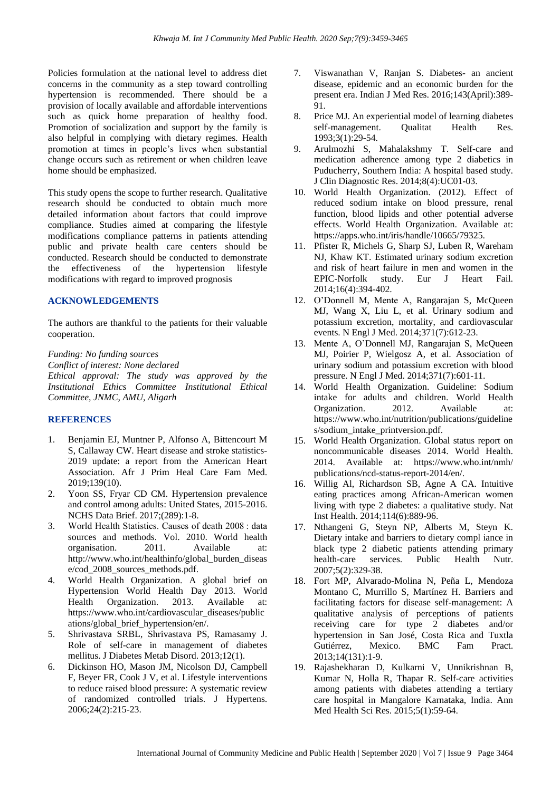Policies formulation at the national level to address diet concerns in the community as a step toward controlling hypertension is recommended. There should be a provision of locally available and affordable interventions such as quick home preparation of healthy food. Promotion of socialization and support by the family is also helpful in complying with dietary regimes. Health promotion at times in people's lives when substantial change occurs such as retirement or when children leave home should be emphasized.

This study opens the scope to further research. Qualitative research should be conducted to obtain much more detailed information about factors that could improve compliance. Studies aimed at comparing the lifestyle modifications compliance patterns in patients attending public and private health care centers should be conducted. Research should be conducted to demonstrate the effectiveness of the hypertension lifestyle modifications with regard to improved prognosis

## **ACKNOWLEDGEMENTS**

The authors are thankful to the patients for their valuable cooperation.

*Funding: No funding sources*

*Conflict of interest: None declared Ethical approval: The study was approved by the Institutional Ethics Committee Institutional Ethical Committee, JNMC, AMU, Aligarh*

# **REFERENCES**

- 1. Benjamin EJ, Muntner P, Alfonso A, Bittencourt M S, Callaway CW. Heart disease and stroke statistics-2019 update: a report from the American Heart Association. Afr J Prim Heal Care Fam Med. 2019;139(10).
- 2. Yoon SS, Fryar CD CM. Hypertension prevalence and control among adults: United States, 2015-2016. NCHS Data Brief. 2017;(289):1-8.
- 3. World Health Statistics. Causes of death 2008 : data sources and methods. Vol. 2010. World health organisation. 2011. Available at: http://www.who.int/healthinfo/global\_burden\_diseas e/cod\_2008\_sources\_methods.pdf.
- 4. World Health Organization. A global brief on Hypertension World Health Day 2013. World Health Organization. 2013. Available at: https://www.who.int/cardiovascular\_diseases/public ations/global\_brief\_hypertension/en/.
- 5. Shrivastava SRBL, Shrivastava PS, Ramasamy J. Role of self-care in management of diabetes mellitus. J Diabetes Metab Disord. 2013;12(1).
- 6. Dickinson HO, Mason JM, Nicolson DJ, Campbell F, Beyer FR, Cook J V, et al. Lifestyle interventions to reduce raised blood pressure: A systematic review of randomized controlled trials. J Hypertens. 2006;24(2):215-23.
- 7. Viswanathan V, Ranjan S. Diabetes- an ancient disease, epidemic and an economic burden for the present era. Indian J Med Res. 2016;143(April):389- 91.
- 8. Price MJ. An experiential model of learning diabetes self-management. Qualitat Health Res. 1993;3(1):29-54.
- 9. Arulmozhi S, Mahalakshmy T. Self-care and medication adherence among type 2 diabetics in Puducherry, Southern India: A hospital based study. J Clin Diagnostic Res. 2014;8(4):UC01-03.
- 10. World Health Organization. (2012). Effect of reduced sodium intake on blood pressure, renal function, blood lipids and other potential adverse effects. World Health Organization. Available at: https://apps.who.int/iris/handle/10665/79325.
- 11. Pfister R, Michels G, Sharp SJ, Luben R, Wareham NJ, Khaw KT. Estimated urinary sodium excretion and risk of heart failure in men and women in the EPIC-Norfolk study. Eur J Heart Fail. 2014;16(4):394-402.
- 12. O'Donnell M, Mente A, Rangarajan S, McQueen MJ, Wang X, Liu L, et al. Urinary sodium and potassium excretion, mortality, and cardiovascular events. N Engl J Med. 2014;371(7):612-23.
- 13. Mente A, O'Donnell MJ, Rangarajan S, McQueen MJ, Poirier P, Wielgosz A, et al. Association of urinary sodium and potassium excretion with blood pressure. N Engl J Med. 2014;371(7):601-11.
- 14. World Health Organization. Guideline: Sodium intake for adults and children. World Health Organization. 2012. Available at: https://www.who.int/nutrition/publications/guideline s/sodium\_intake\_printversion.pdf.
- 15. World Health Organization. Global status report on noncommunicable diseases 2014. World Health. 2014. Available at: https://www.who.int/nmh/ publications/ncd-status-report-2014/en/.
- 16. Willig Al, Richardson SB, Agne A CA. Intuitive eating practices among African-American women living with type 2 diabetes: a qualitative study. Nat Inst Health. 2014;114(6):889-96.
- 17. Nthangeni G, Steyn NP, Alberts M, Steyn K. Dietary intake and barriers to dietary compl iance in black type 2 diabetic patients attending primary health-care services. Public Health Nutr. 2007;5(2):329-38.
- 18. Fort MP, Alvarado-Molina N, Peña L, Mendoza Montano C, Murrillo S, Martínez H. Barriers and facilitating factors for disease self-management: A qualitative analysis of perceptions of patients receiving care for type 2 diabetes and/or hypertension in San José, Costa Rica and Tuxtla Gutiérrez, Mexico. BMC Fam Pract. 2013;14(131):1-9.
- 19. Rajashekharan D, Kulkarni V, Unnikrishnan B, Kumar N, Holla R, Thapar R. Self-care activities among patients with diabetes attending a tertiary care hospital in Mangalore Karnataka, India. Ann Med Health Sci Res. 2015;5(1):59-64.